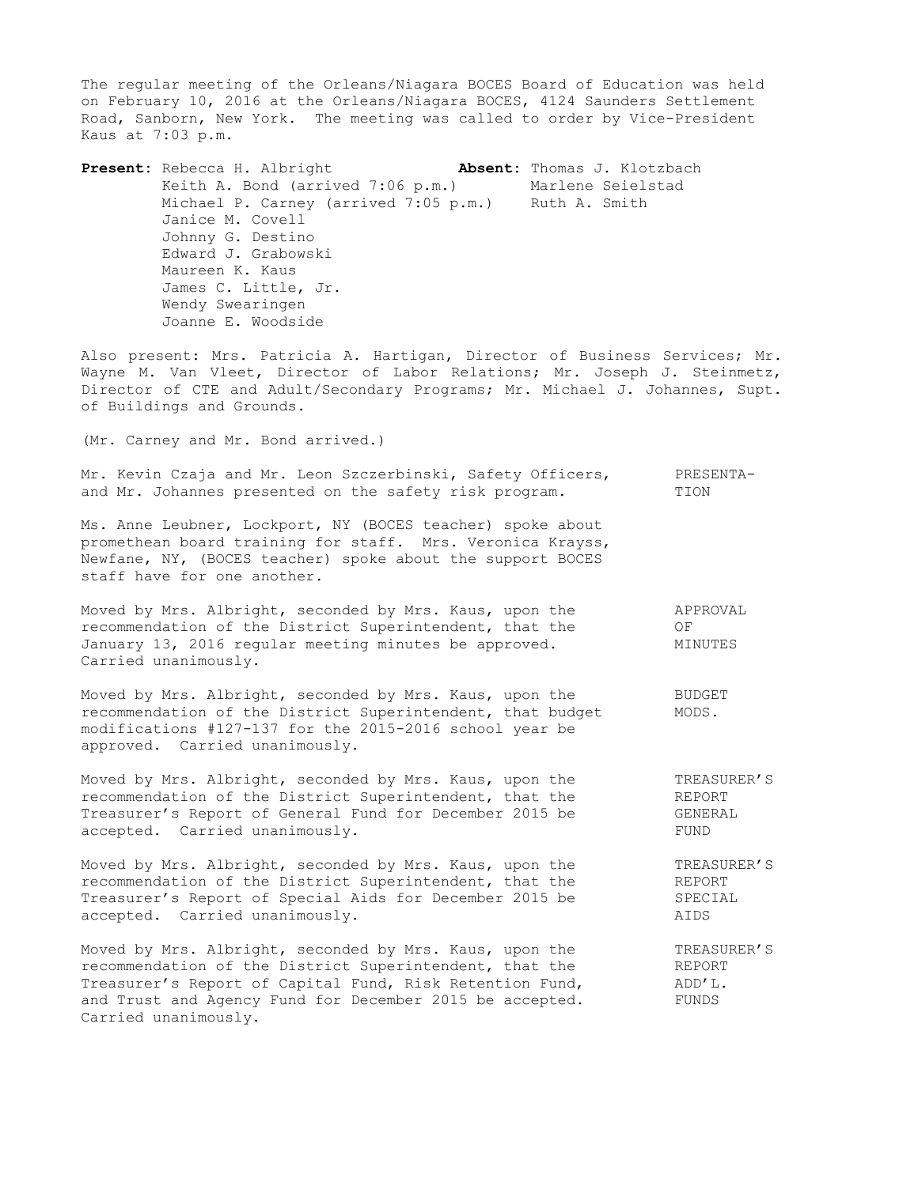The regular meeting of the Orleans/Niagara BOCES Board of Education was held on February 10, 2016 at the Orleans/Niagara BOCES, 4124 Saunders Settlement Road, Sanborn, New York. The meeting was called to order by Vice-President Kaus at 7:03 p.m.

**Present:** Rebecca H. Albright **Absent:** Thomas J. Klotzbach Keith A. Bond (arrived 7:06 p.m.) Marlene Seielstad Michael P. Carney (arrived 7:05 p.m.) Ruth A. Smith Janice M. Covell Johnny G. Destino Edward J. Grabowski Maureen K. Kaus James C. Little, Jr. Wendy Swearingen Joanne E. Woodside

Also present: Mrs. Patricia A. Hartigan, Director of Business Services; Mr. Wayne M. Van Vleet, Director of Labor Relations; Mr. Joseph J. Steinmetz, Director of CTE and Adult/Secondary Programs; Mr. Michael J. Johannes, Supt. of Buildings and Grounds.

(Mr. Carney and Mr. Bond arrived.)

Mr. Kevin Czaja and Mr. Leon Szczerbinski, Safety Officers, PRESENTAand Mr. Johannes presented on the safety risk program. TION

Ms. Anne Leubner, Lockport, NY (BOCES teacher) spoke about promethean board training for staff. Mrs. Veronica Krayss, Newfane, NY, (BOCES teacher) spoke about the support BOCES staff have for one another.

Moved by Mrs. Albright, seconded by Mrs. Kaus, upon the APPROVAL recommendation of the District Superintendent, that the OF January 13, 2016 regular meeting minutes be approved. MINUTES Carried unanimously.

Moved by Mrs. Albright, seconded by Mrs. Kaus, upon the BUDGET recommendation of the District Superintendent, that budget MODS. modifications #127-137 for the 2015-2016 school year be approved. Carried unanimously.

Moved by Mrs. Albright, seconded by Mrs. Kaus, upon the TREASURER'S recommendation of the District Superintendent, that the REPORT<br>Treasurer's Report of General Fund for December 2015 be GENERAL Treasurer's Report of General Fund for December 2015 be accepted. Carried unanimously. The contract of the set of the set of the set of the set of the set of the set of the set of the set of the set of the set of the set of the set of the set of the set of the set of the set of

Moved by Mrs. Albright, seconded by Mrs. Kaus, upon the TREASURER'S recommendation of the District Superintendent, that the REPORT Treasurer's Report of Special Aids for December 2015 be SPECIAL accepted. Carried unanimously. AIDS

Moved by Mrs. Albright, seconded by Mrs. Kaus, upon the TREASURER'S recommendation of the District Superintendent, that the REPORT Treasurer's Report of Capital Fund, Risk Retention Fund,  $ADD'L$ . and Trust and Agency Fund for December 2015 be accepted. FUNDS Carried unanimously.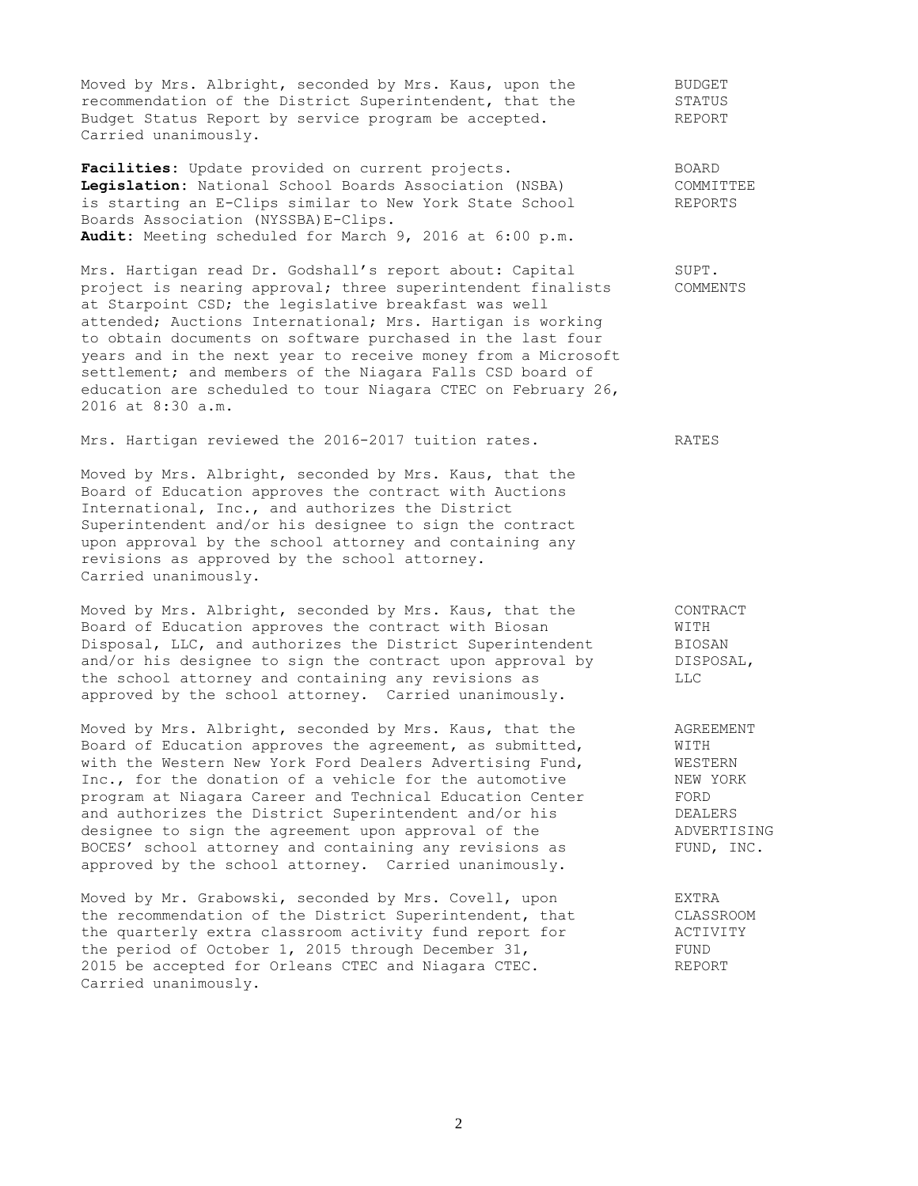Moved by Mrs. Albright, seconded by Mrs. Kaus, upon the BUDGET recommendation of the District Superintendent, that the STATUS Budget Status Report by service program be accepted. The REPORT Carried unanimously.

Facilities: Update provided on current projects. The SOARD **Legislation:** National School Boards Association (NSBA) COMMITTEE is starting an E-Clips similar to New York State School REPORTS Boards Association (NYSSBA)E-Clips. **Audit:** Meeting scheduled for March 9, 2016 at 6:00 p.m.

Mrs. Hartigan read Dr. Godshall's report about: Capital SUPT.<br>project is nearing approval; three superintendent finalists COMMENTS project is nearing approval; three superintendent finalists at Starpoint CSD; the legislative breakfast was well attended; Auctions International; Mrs. Hartigan is working to obtain documents on software purchased in the last four years and in the next year to receive money from a Microsoft settlement; and members of the Niagara Falls CSD board of education are scheduled to tour Niagara CTEC on February 26, 2016 at 8:30 a.m.

Mrs. Hartigan reviewed the 2016-2017 tuition rates. RATES

Moved by Mrs. Albright, seconded by Mrs. Kaus, that the Board of Education approves the contract with Auctions International, Inc., and authorizes the District Superintendent and/or his designee to sign the contract upon approval by the school attorney and containing any revisions as approved by the school attorney. Carried unanimously.

Moved by Mrs. Albright, seconded by Mrs. Kaus, that the CONTRACT Board of Education approves the contract with Biosan WITH Disposal, LLC, and authorizes the District Superintendent BIOSAN and/or his designee to sign the contract upon approval by DISPOSAL, the school attorney and containing any revisions as LLC approved by the school attorney. Carried unanimously.

Moved by Mrs. Albright, seconded by Mrs. Kaus, that the AGREEMENT Board of Education approves the agreement, as submitted,  $WITH$ with the Western New York Ford Dealers Advertising Fund, WESTERN Inc., for the donation of a vehicle for the automotive NEW YORK program at Niagara Career and Technical Education Center FORD<br>and authorizes the District Superintendent and/or his FEALERS program at Niagard Caroor and From 1.<br>and authorizes the District Superintendent and/or his designee to sign the agreement upon approval of the ADVERTISING BOCES' school attorney and containing any revisions as FUND, INC. approved by the school attorney. Carried unanimously.

Moved by Mr. Grabowski, seconded by Mrs. Covell, upon EXTRA the recommendation of the District Superintendent, that CLASSROOM the quarterly extra classroom activity fund report for  $\overline{A}$  ACTIVITY the period of October 1, 2015 through December 31, 2015 be accepted for Orleans CTEC and Niagara CTEC. REPORT Carried unanimously.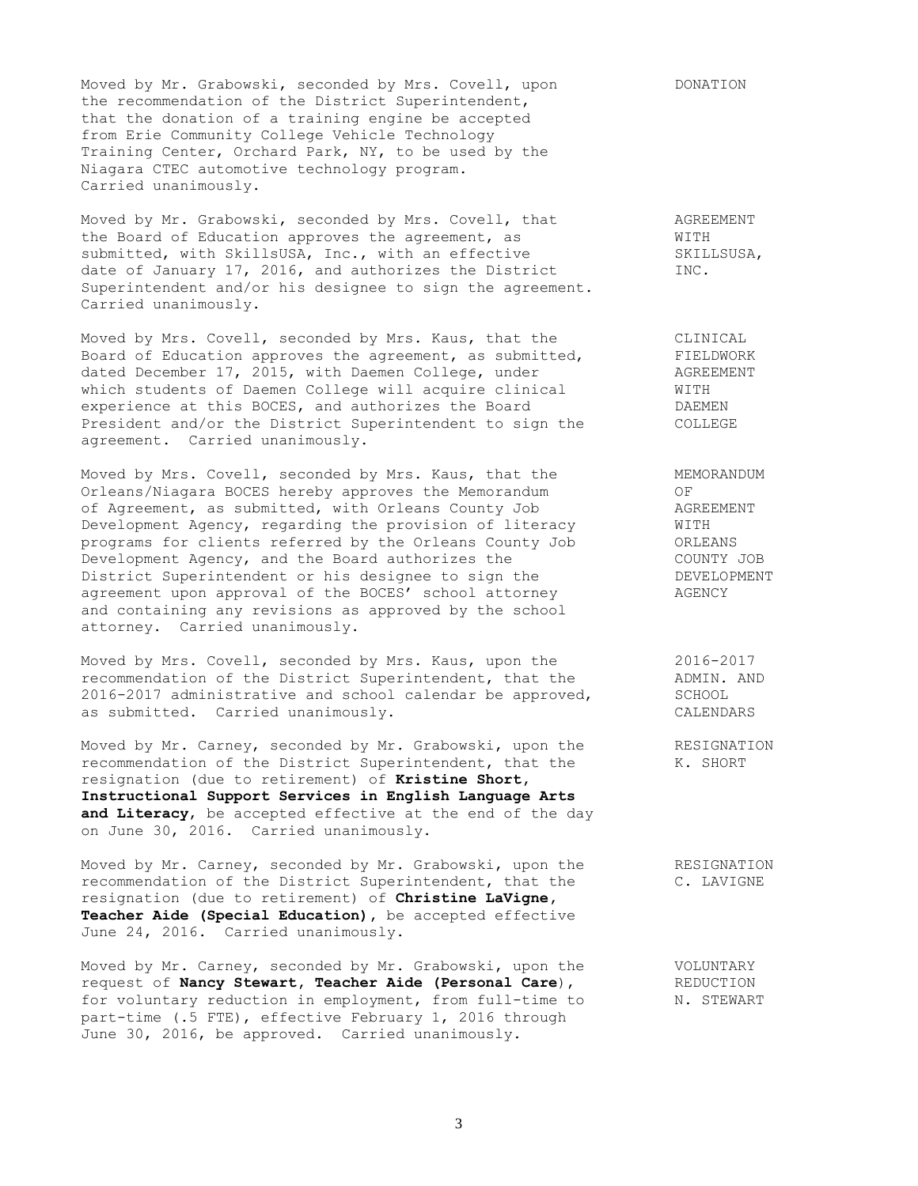Moved by Mr. Grabowski, seconded by Mrs. Covell, upon DONATION the recommendation of the District Superintendent, that the donation of a training engine be accepted from Erie Community College Vehicle Technology Training Center, Orchard Park, NY, to be used by the Niagara CTEC automotive technology program. Carried unanimously.

Moved by Mr. Grabowski, seconded by Mrs. Covell, that AGREEMENT the Board of Education approves the agreement, as WITH submitted, with SkillsUSA, Inc., with an effective SKILLSUSA, date of January 17, 2016, and authorizes the District TNC. Superintendent and/or his designee to sign the agreement. Carried unanimously.

Moved by Mrs. Covell, seconded by Mrs. Kaus, that the CLINICAL Board of Education approves the agreement, as submitted, FIELDWORK dated December 17, 2015, with Daemen College, under AGREEMENT which students of Daemen College will acquire clinical WITH experience at this BOCES, and authorizes the Board TAEMEN President and/or the District Superintendent to sign the COLLEGE agreement. Carried unanimously.

Moved by Mrs. Covell, seconded by Mrs. Kaus, that the MEMORANDUM Orleans/Niagara BOCES hereby approves the Memorandum OF of Agreement, as submitted, with Orleans County Job AGREEMENT Development Agency, regarding the provision of literacy WITH programs for clients referred by the Orleans County Job ORLEANS Development Agency, and the Board authorizes the COUNTY JOB District Superintendent or his designee to sign the THE DEVELOPMENT agreement upon approval of the BOCES' school attorney AGENCY and containing any revisions as approved by the school attorney. Carried unanimously.

Moved by Mrs. Covell, seconded by Mrs. Kaus, upon the 2016-2017 recommendation of the District Superintendent, that the  $\qquad$  ADMIN. AND 2016-2017 administrative and school calendar be approved, SCHOOL as submitted. Carried unanimously. CALENDARS

Moved by Mr. Carney, seconded by Mr. Grabowski, upon the RESIGNATION recommendation of the District Superintendent, that the K. SHORT resignation (due to retirement) of **Kristine Short, Instructional Support Services in English Language Arts and Literacy**, be accepted effective at the end of the day on June 30, 2016. Carried unanimously.

Moved by Mr. Carney, seconded by Mr. Grabowski, upon the RESIGNATION recommendation of the District Superintendent, that the C. LAVIGNE resignation (due to retirement) of **Christine LaVigne, Teacher Aide (Special Education),** be accepted effective June 24, 2016. Carried unanimously.

Moved by Mr. Carney, seconded by Mr. Grabowski, upon the **VOLUNTARY** request of **Nancy Stewart, Teacher Aide (Personal Care**), REDUCTION for voluntary reduction in employment, from full-time to N. STEWART part-time (.5 FTE), effective February 1, 2016 through June 30, 2016, be approved. Carried unanimously.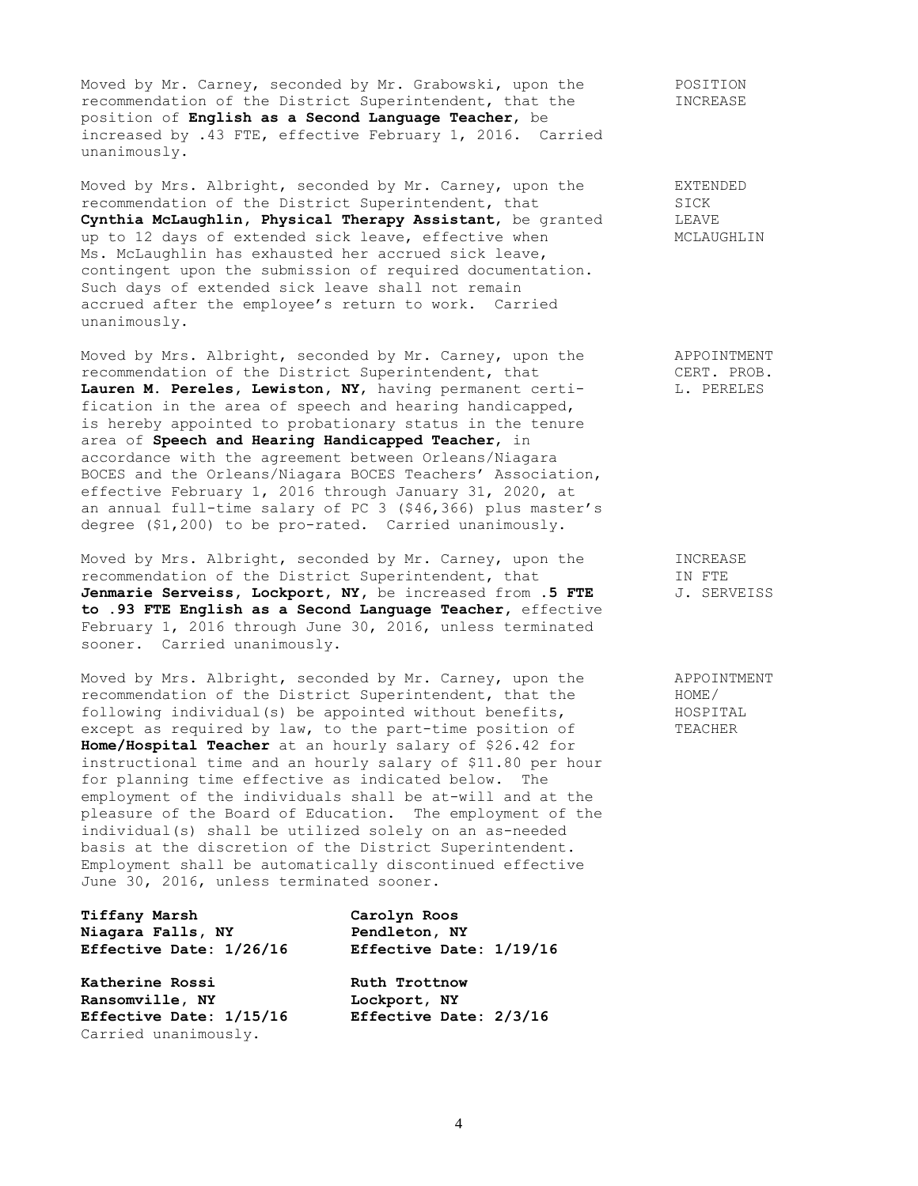Moved by Mr. Carney, seconded by Mr. Grabowski, upon the POSITION recommendation of the District Superintendent, that the INCREASE position of **English as a Second Language Teacher**, be increased by .43 FTE, effective February 1, 2016. Carried unanimously.

Moved by Mrs. Albright, seconded by Mr. Carney, upon the EXTENDED recommendation of the District Superintendent, that SICK<br> **Cynthia McLaughlin, Physical Therapy Assistant**, be granted LEAVE Cynthia McLaughlin, Physical Therapy Assistant, be granted up to 12 days of extended sick leave, effective when MCLAUGHLIN Ms. McLaughlin has exhausted her accrued sick leave, contingent upon the submission of required documentation. Such days of extended sick leave shall not remain accrued after the employee's return to work. Carried unanimously.

Moved by Mrs. Albright, seconded by Mr. Carney, upon the APPOINTMENT recommendation of the District Superintendent, that CERT. PROB. recommendation of the District Superintendent, that CERT. PROB. **Lauren M. Pereles, Lewiston, NY**, having permanent certi- L. PERELES fication in the area of speech and hearing handicapped, is hereby appointed to probationary status in the tenure area of **Speech and Hearing Handicapped Teacher**, in accordance with the agreement between Orleans/Niagara BOCES and the Orleans/Niagara BOCES Teachers' Association, effective February 1, 2016 through January 31, 2020, at an annual full-time salary of PC 3 (\$46,366) plus master's degree (\$1,200) to be pro-rated. Carried unanimously.

Moved by Mrs. Albright, seconded by Mr. Carney, upon the INCREASE<br>recommendation of the District Superintendent, that IN FTE recommendation of the District Superintendent, that IN FTE<br> **Jenmarie Serveiss, Lockport, NY,** be increased from .5 FTE J. SERVEISS **Jenmarie Serveiss, Lockport, NY, be increased from .5 FTE to .93 FTE English as a Second Language Teacher,** effective February 1, 2016 through June 30, 2016, unless terminated sooner. Carried unanimously.

Moved by Mrs. Albright, seconded by Mr. Carney, upon the APPOINTMENT recommendation of the District Superintendent, that the  $HOME/$ recommendation of the District Superintendent, that the HOME/<br>following individual(s) be appointed without benefits, HOSPITAL following individual(s) be appointed without benefits, except as required by law, to the part-time position of TEACHER **Home/Hospital Teacher** at an hourly salary of \$26.42 for instructional time and an hourly salary of \$11.80 per hour for planning time effective as indicated below. The employment of the individuals shall be at-will and at the pleasure of the Board of Education. The employment of the individual(s) shall be utilized solely on an as-needed basis at the discretion of the District Superintendent. Employment shall be automatically discontinued effective June 30, 2016, unless terminated sooner.

**Tiffany Marsh Carolyn Roos Niagara Falls, NY Pendleton, NY Effective Date: 1/26/16 Effective Date: 1/19/16**

**Katherine Rossi Ruth Trottnow Ransomville, NY Lockport, NY Effective Date: 1/15/16 Effective Date: 2/3/16** Carried unanimously.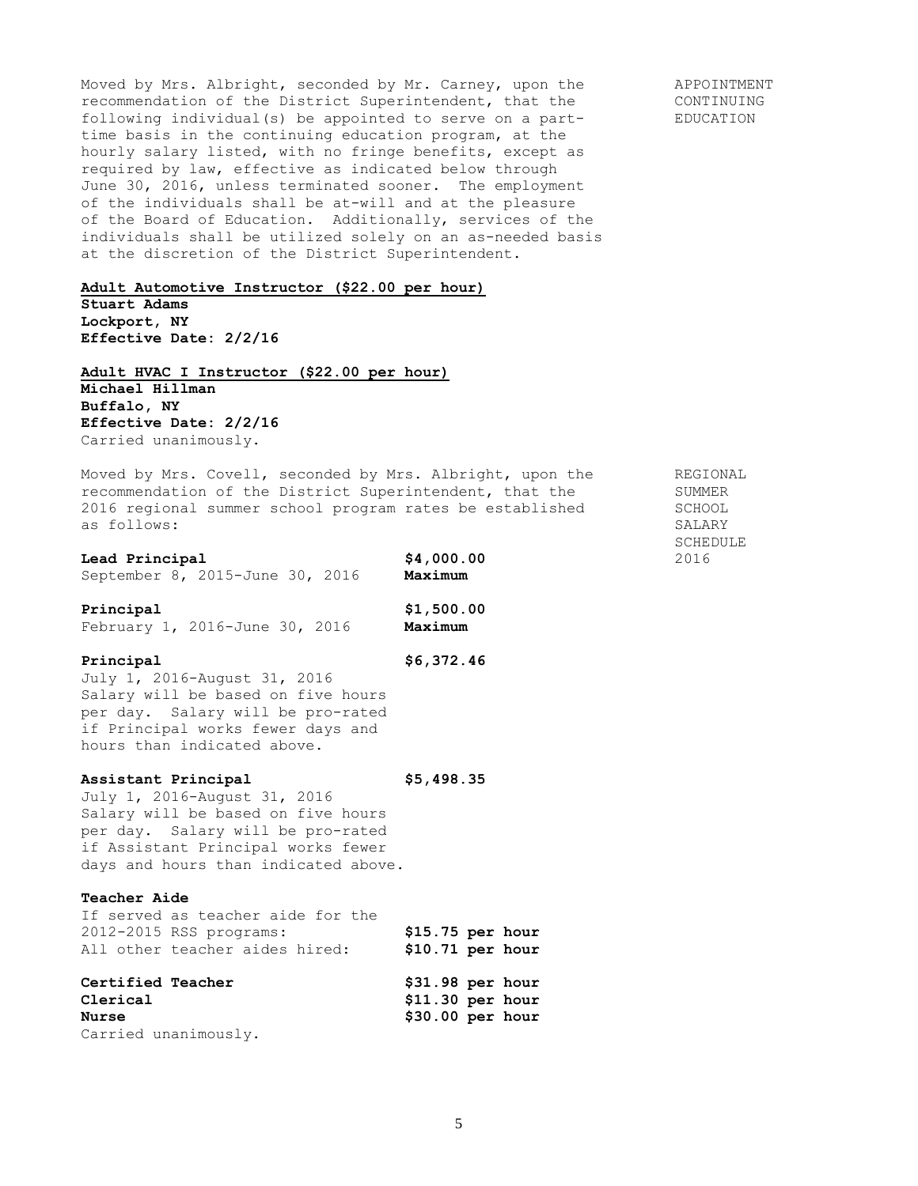Moved by Mrs. Albright, seconded by Mr. Carney, upon the APPOINTMENT recommendation of the District Superintendent, that the CONTINUING following individual(s) be appointed to serve on a part- EDUCATION time basis in the continuing education program, at the hourly salary listed, with no fringe benefits, except as required by law, effective as indicated below through June 30, 2016, unless terminated sooner. The employment of the individuals shall be at-will and at the pleasure of the Board of Education. Additionally, services of the individuals shall be utilized solely on an as-needed basis at the discretion of the District Superintendent.

### **Adult Automotive Instructor (\$22.00 per hour)**

**Stuart Adams Lockport, NY Effective Date: 2/2/16**

**Adult HVAC I Instructor (\$22.00 per hour) Michael Hillman Buffalo, NY Effective Date: 2/2/16** Carried unanimously.

Moved by Mrs. Covell, seconded by Mrs. Albright, upon the REGIONAL recommendation of the District Superintendent, that the SUMMER 2016 regional summer school program rates be established SCHOOL as follows: SALARY

| Lead Principal                  | \$4,000.00 | 2016 |
|---------------------------------|------------|------|
| September 8, 2015-June 30, 2016 | Maximum    |      |

**Principal \$1,500.00** February 1, 2016-June 30, 2016 **Maximum**

## **Principal \$6,372.46**

July 1, 2016-August 31, 2016 Salary will be based on five hours per day. Salary will be pro-rated if Principal works fewer days and hours than indicated above.

### **Assistant Principal \$5,498.35**

July 1, 2016-August 31, 2016 Salary will be based on five hours per day. Salary will be pro-rated if Assistant Principal works fewer days and hours than indicated above.

# **Teacher Aide**

If served as teacher aide for the 2012-2015 RSS programs: **\$15.75 per hour** All other teacher aides hired: **\$10.71 per hour**

| <b>Certified Teacher</b> | $$31.98$ per hour |
|--------------------------|-------------------|
| Clerical                 | $$11.30$ per hour |
| <b>Nurse</b>             | $$30.00$ per hour |
| Carried unanimously.     |                   |

SCHEDULE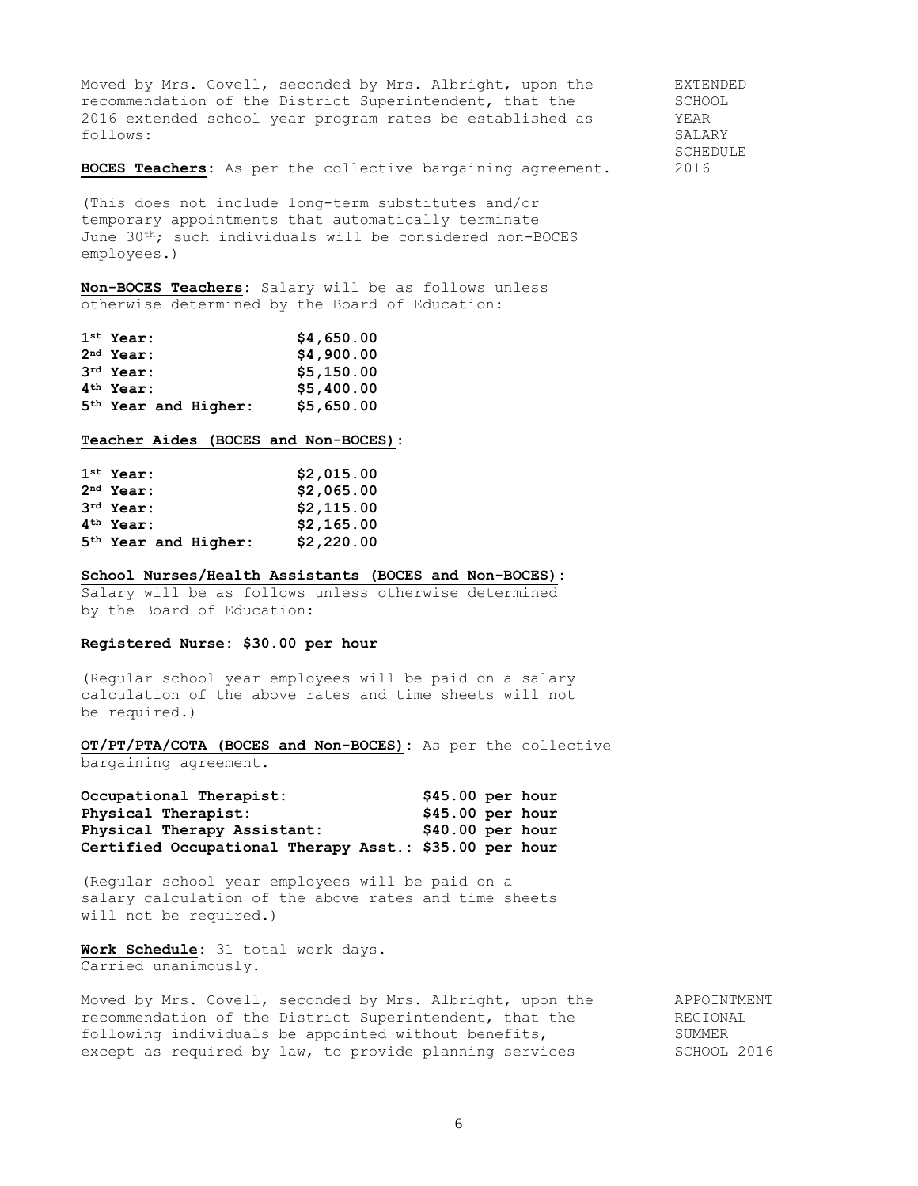Moved by Mrs. Covell, seconded by Mrs. Albright, upon the EXTENDED recommendation of the District Superintendent, that the SCHOOL 2016 extended school year program rates be established as YEAR follows: SALARY

SCHEDULE

**BOCES Teachers:** As per the collective bargaining agreement. 2016

(This does not include long-term substitutes and/or temporary appointments that automatically terminate June 30th; such individuals will be considered non-BOCES employees.)

**Non-BOCES Teachers:** Salary will be as follows unless otherwise determined by the Board of Education:

| $1st$ Year:                      | \$4,650.00 |
|----------------------------------|------------|
| $2nd$ Year:                      | \$4,900.00 |
| $3rd$ Year:                      | \$5,150.00 |
| $4th$ Year:                      | \$5,400.00 |
| 5 <sup>th</sup> Year and Higher: | \$5,650.00 |

#### **Teacher Aides (BOCES and Non-BOCES):**

| $1st$ Year:                      | \$2,015.00 |
|----------------------------------|------------|
| $2nd$ Year:                      | \$2,065.00 |
| $3rd$ Year:                      | \$2,115.00 |
| 4 <sup>th</sup> Year:            | \$2,165.00 |
| 5 <sup>th</sup> Year and Higher: | \$2,220.00 |

#### **School Nurses/Health Assistants (BOCES and Non-BOCES):**

Salary will be as follows unless otherwise determined by the Board of Education:

### **Registered Nurse: \$30.00 per hour**

(Regular school year employees will be paid on a salary calculation of the above rates and time sheets will not be required.)

**OT/PT/PTA/COTA (BOCES and Non-BOCES):** As per the collective bargaining agreement.

| Occupational Therapist:                                | $$45.00$ per hour |  |
|--------------------------------------------------------|-------------------|--|
| Physical Therapist:                                    | $$45.00$ per hour |  |
| Physical Therapy Assistant:                            | $$40.00$ per hour |  |
| Certified Occupational Therapy Asst.: \$35.00 per hour |                   |  |

(Regular school year employees will be paid on a salary calculation of the above rates and time sheets will not be required.)

**Work Schedule:** 31 total work days. Carried unanimously.

Moved by Mrs. Covell, seconded by Mrs. Albright, upon the APPOINTMENT<br>recommendation of the District Superintendent that the APPOINTMENT recommendation of the District Superintendent, that the following individuals be appointed without benefits, SUMMER except as required by law, to provide planning services SCHOOL 2016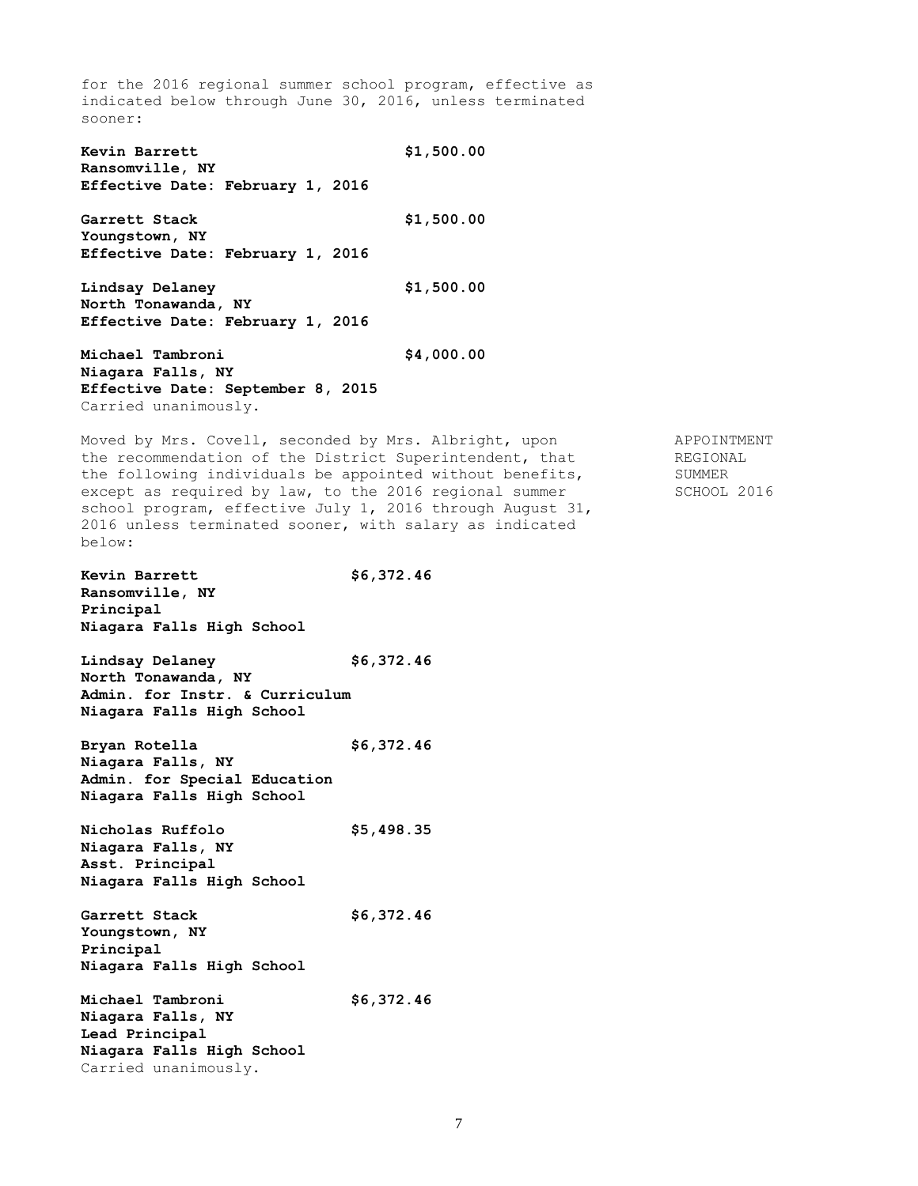for the 2016 regional summer school program, effective as indicated below through June 30, 2016, unless terminated sooner: **Kevin Barrett \$1,500.00 Ransomville, NY Effective Date: February 1, 2016 Garrett Stack \$1,500.00 Youngstown, NY Effective Date: February 1, 2016 Lindsay Delaney \$1,500.00 North Tonawanda, NY Effective Date: February 1, 2016 Michael Tambroni \$4,000.00 Niagara Falls, NY Effective Date: September 8, 2015** Carried unanimously. Moved by Mrs. Covell, seconded by Mrs. Albright, upon APPOINTMENT the recommendation of the District Superintendent, that REGIONAL the following individuals be appointed without benefits, SUMMER except as required by law, to the 2016 regional summer SCHOOL 2016 school program, effective July 1, 2016 through August 31, 2016 unless terminated sooner, with salary as indicated below: **Kevin Barrett \$6,372.46 Ransomville, NY Principal Niagara Falls High School Lindsay Delaney \$6,372.46 North Tonawanda, NY Admin. for Instr. & Curriculum Niagara Falls High School Bryan Rotella \$6,372.46 Niagara Falls, NY Admin. for Special Education Niagara Falls High School Nicholas Ruffolo \$5,498.35 Niagara Falls, NY Asst. Principal Niagara Falls High School Garrett Stack \$6,372.46 Youngstown, NY Principal Niagara Falls High School Michael Tambroni \$6,372.46 Niagara Falls, NY Lead Principal Niagara Falls High School** Carried unanimously.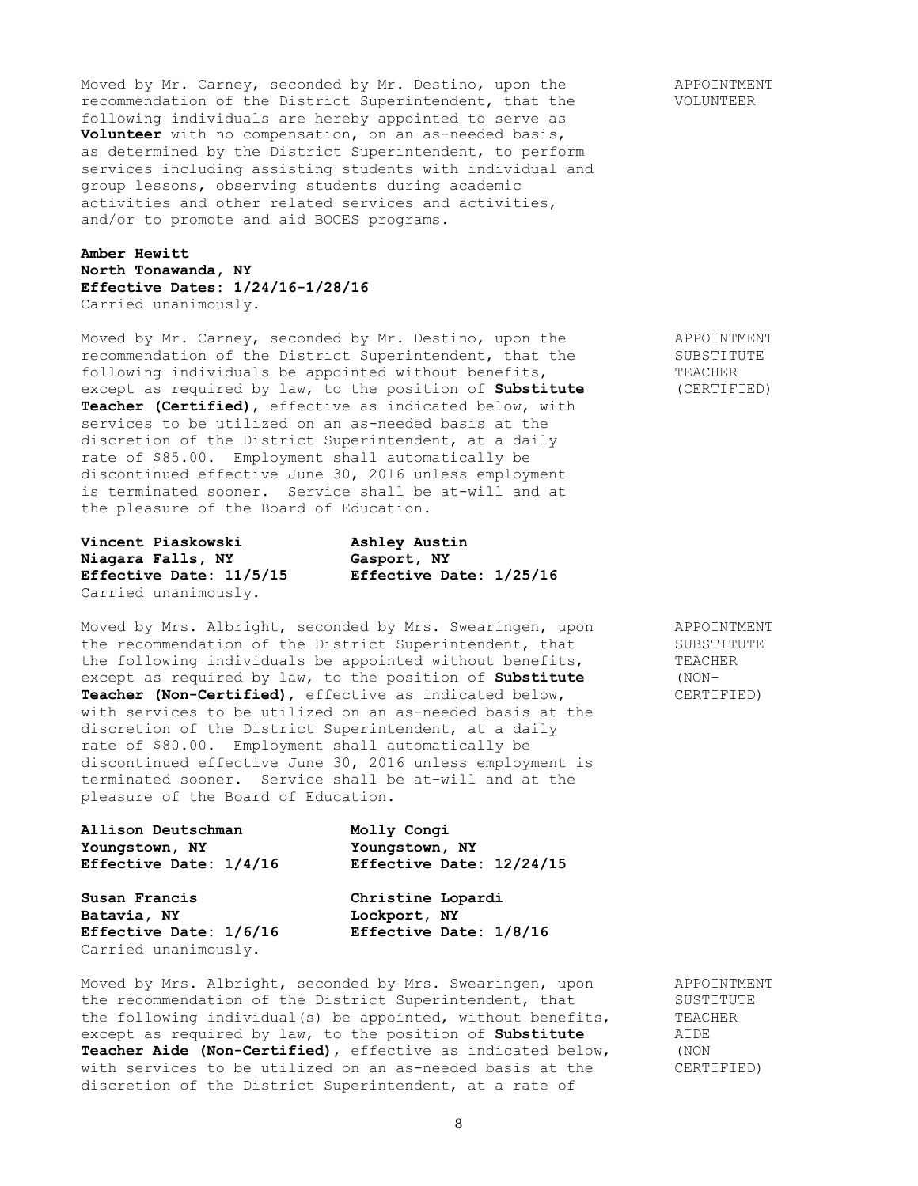Moved by Mr. Carney, seconded by Mr. Destino, upon the APPOINTMENT recommendation of the District Superintendent, that the VOLUNTEER following individuals are hereby appointed to serve as **Volunteer** with no compensation, on an as-needed basis, as determined by the District Superintendent, to perform services including assisting students with individual and group lessons, observing students during academic activities and other related services and activities, and/or to promote and aid BOCES programs.

# **Amber Hewitt North Tonawanda, NY Effective Dates: 1/24/16-1/28/16** Carried unanimously.

Moved by Mr. Carney, seconded by Mr. Destino, upon the APPOINTMENT recommendation of the District Superintendent, that the SUBSTITUTE<br>following individuals be appointed without benefits, TEACHER following individuals be appointed without benefits, TEACHER except as required by law, to the position of **Substitute** (CERTIFIED) except as required by law, to the position of **Substitute Teacher (Certified)**, effective as indicated below, with services to be utilized on an as-needed basis at the discretion of the District Superintendent, at a daily rate of \$85.00. Employment shall automatically be discontinued effective June 30, 2016 unless employment is terminated sooner. Service shall be at-will and at the pleasure of the Board of Education.

**Vincent Piaskowski Ashley Austin Niagara Falls, NY Gasport, NY Effective Date: 11/5/15 Effective Date: 1/25/16** Carried unanimously.

Moved by Mrs. Albright, seconded by Mrs. Swearingen, upon APPOINTMENT the recommendation of the District Superintendent, that SUBSTITUTE the following individuals be appointed without benefits, TEACHER<br>except as required by law, to the position of **Substitute** (NONexcept as required by law, to the position of **Substitute Teacher (Non-Certified)**, effective as indicated below, CERTIFIED) with services to be utilized on an as-needed basis at the discretion of the District Superintendent, at a daily rate of \$80.00. Employment shall automatically be discontinued effective June 30, 2016 unless employment is terminated sooner. Service shall be at-will and at the pleasure of the Board of Education.

| Allison Deutschman     |  |
|------------------------|--|
| Youngstown, NY         |  |
| Effective Date: 1/4/16 |  |

**Susan Francis Christine Lopardi Batavia, NY Lockport, NY** Carried unanimously.

**Allison Deutschman Molly Congi Youngstown, NY Youngstown, NY Effective Date: 1/4/16 Effective Date: 12/24/15**

**Effective Date: 1/6/16 Effective Date: 1/8/16**

Moved by Mrs. Albright, seconded by Mrs. Swearingen, upon APPOINTMENT the recommendation of the District Superintendent, that SUSTITUTE the following individual(s) be appointed, without benefits, TEACHER<br>except as required by law, to the position of **Substitute** AIDE except as required by law, to the position of Substitute **Teacher Aide (Non-Certified)**, effective as indicated below, (NON with services to be utilized on an as-needed basis at the (CERTIFIED) with services to be utilized on an as-needed basis at the discretion of the District Superintendent, at a rate of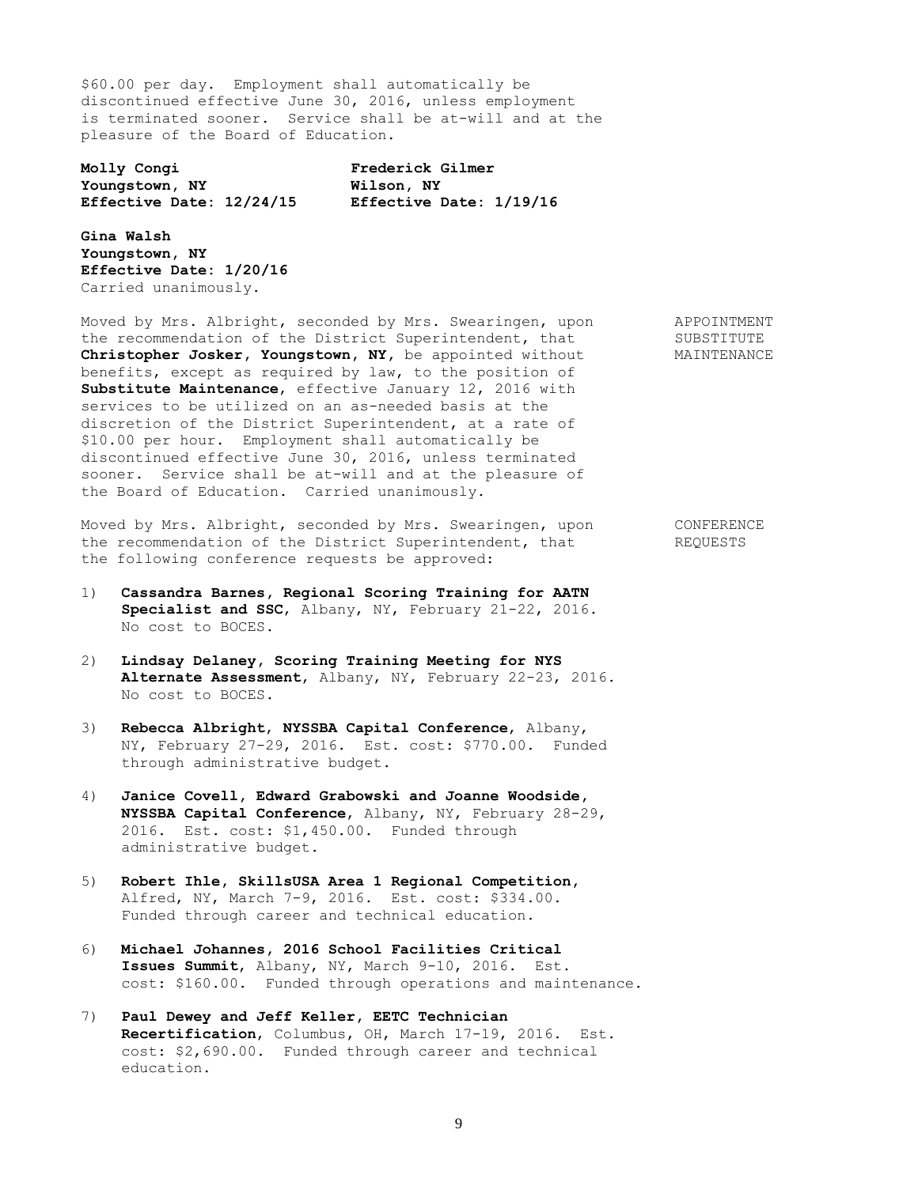\$60.00 per day. Employment shall automatically be discontinued effective June 30, 2016, unless employment is terminated sooner. Service shall be at-will and at the pleasure of the Board of Education.

**Molly Congi Frederick Gilmer Youngstown, NY Wilson, NY Effective Date: 12/24/15 Effective Date: 1/19/16**

**Gina Walsh Youngstown, NY Effective Date: 1/20/16** Carried unanimously.

Moved by Mrs. Albright, seconded by Mrs. Swearingen, upon APPOINTMENT the recommendation of the District Superintendent, that SUBSTITUTE Christopher Josker, Youngstown, NY, be appointed without MAINTENANCE benefits, except as required by law, to the position of **Substitute Maintenance**, effective January 12, 2016 with services to be utilized on an as-needed basis at the discretion of the District Superintendent, at a rate of \$10.00 per hour. Employment shall automatically be discontinued effective June 30, 2016, unless terminated sooner. Service shall be at-will and at the pleasure of the Board of Education. Carried unanimously.

Moved by Mrs. Albright, seconded by Mrs. Swearingen, upon CONFERENCE the recommendation of the District Superintendent, that REQUESTS the following conference requests be approved:

- 1) **Cassandra Barnes, Regional Scoring Training for AATN Specialist and SSC**, Albany, NY, February 21-22, 2016. No cost to BOCES.
- 2) **Lindsay Delaney, Scoring Training Meeting for NYS Alternate Assessment**, Albany, NY, February 22-23, 2016. No cost to BOCES.
- 3) **Rebecca Albright**, **NYSSBA Capital Conference**, Albany, NY, February 27-29, 2016. Est. cost: \$770.00. Funded through administrative budget.
- 4) **Janice Covell, Edward Grabowski and Joanne Woodside, NYSSBA Capital Conference**, Albany, NY, February 28-29, 2016. Est. cost: \$1,450.00. Funded through administrative budget.
- 5) **Robert Ihle, SkillsUSA Area 1 Regional Competition,** Alfred, NY, March 7-9, 2016. Est. cost: \$334.00. Funded through career and technical education.
- 6) **Michael Johannes, 2016 School Facilities Critical Issues Summit**, Albany, NY, March 9-10, 2016. Est. cost: \$160.00. Funded through operations and maintenance.
- 7) **Paul Dewey and Jeff Keller, EETC Technician Recertification**, Columbus, OH, March 17-19, 2016. Est. cost: \$2,690.00. Funded through career and technical education.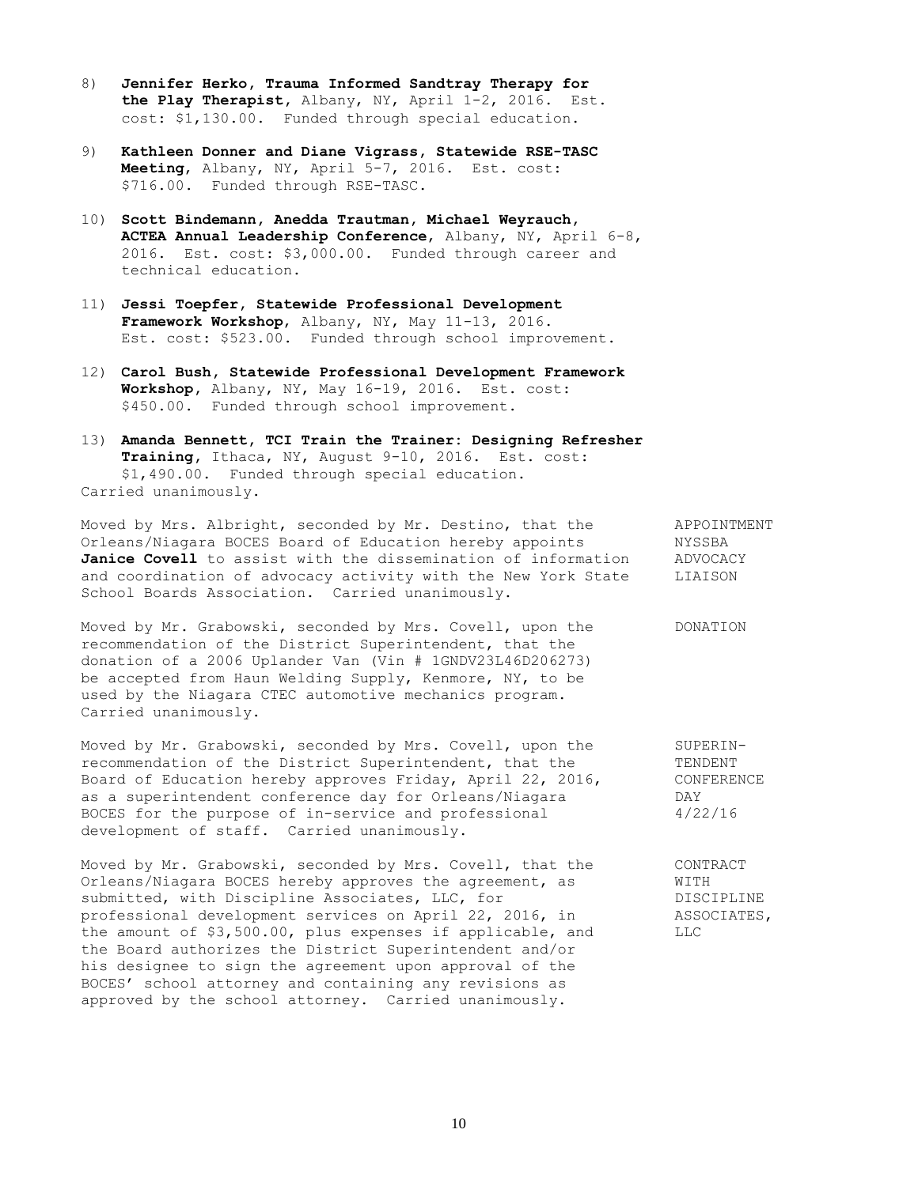- 8) **Jennifer Herko, Trauma Informed Sandtray Therapy for the Play Therapist,** Albany, NY, April 1-2, 2016. Est. cost: \$1,130.00. Funded through special education.
- 9) **Kathleen Donner and Diane Vigrass, Statewide RSE-TASC Meeting**, Albany, NY, April 5-7, 2016. Est. cost: \$716.00. Funded through RSE-TASC.
- 10) **Scott Bindemann, Anedda Trautman, Michael Weyrauch, ACTEA Annual Leadership Conference**, Albany, NY, April 6-8, 2016. Est. cost: \$3,000.00. Funded through career and technical education.
- 11) **Jessi Toepfer, Statewide Professional Development Framework Workshop**, Albany, NY, May 11-13, 2016. Est. cost: \$523.00. Funded through school improvement.
- 12) **Carol Bush, Statewide Professional Development Framework Workshop,** Albany, NY, May 16-19, 2016. Est. cost: \$450.00. Funded through school improvement.
- 13) **Amanda Bennett, TCI Train the Trainer: Designing Refresher Training,** Ithaca, NY, August 9-10, 2016. Est. cost: \$1,490.00. Funded through special education. Carried unanimously.

Moved by Mrs. Albright, seconded by Mr. Destino, that the APPOINTMENT Orleans/Niagara BOCES Board of Education hereby appoints NYSSBA **Janice Covell** to assist with the dissemination of information ADVOCACY and coordination of advocacy activity with the New York State LIAISON School Boards Association. Carried unanimously.

Moved by Mr. Grabowski, seconded by Mrs. Covell, upon the DONATION recommendation of the District Superintendent, that the donation of a 2006 Uplander Van (Vin # 1GNDV23L46D206273) be accepted from Haun Welding Supply, Kenmore, NY, to be used by the Niagara CTEC automotive mechanics program. Carried unanimously.

Moved by Mr. Grabowski, seconded by Mrs. Covell, upon the SUPERINrecommendation of the District Superintendent, that the TENDENT Board of Education hereby approves Friday, April 22, 2016, CONFERENCE as a superintendent conference day for Orleans/Niagara DAY BOCES for the purpose of in-service and professional  $4/22/16$ development of staff. Carried unanimously.

Moved by Mr. Grabowski, seconded by Mrs. Covell, that the CONTRACT Orleans/Niagara BOCES hereby approves the agreement, as WITH submitted, with Discipline Associates, LLC, for DISCIPLINE professional development services on April 22, 2016, in ASSOCIATES, professional development services on April 22, 2016, in ASSOCHE amount of \$3,500.00, plus expenses if applicable, and LLC the amount of \$3,500.00, plus expenses if applicable, and the Board authorizes the District Superintendent and/or his designee to sign the agreement upon approval of the BOCES' school attorney and containing any revisions as approved by the school attorney. Carried unanimously.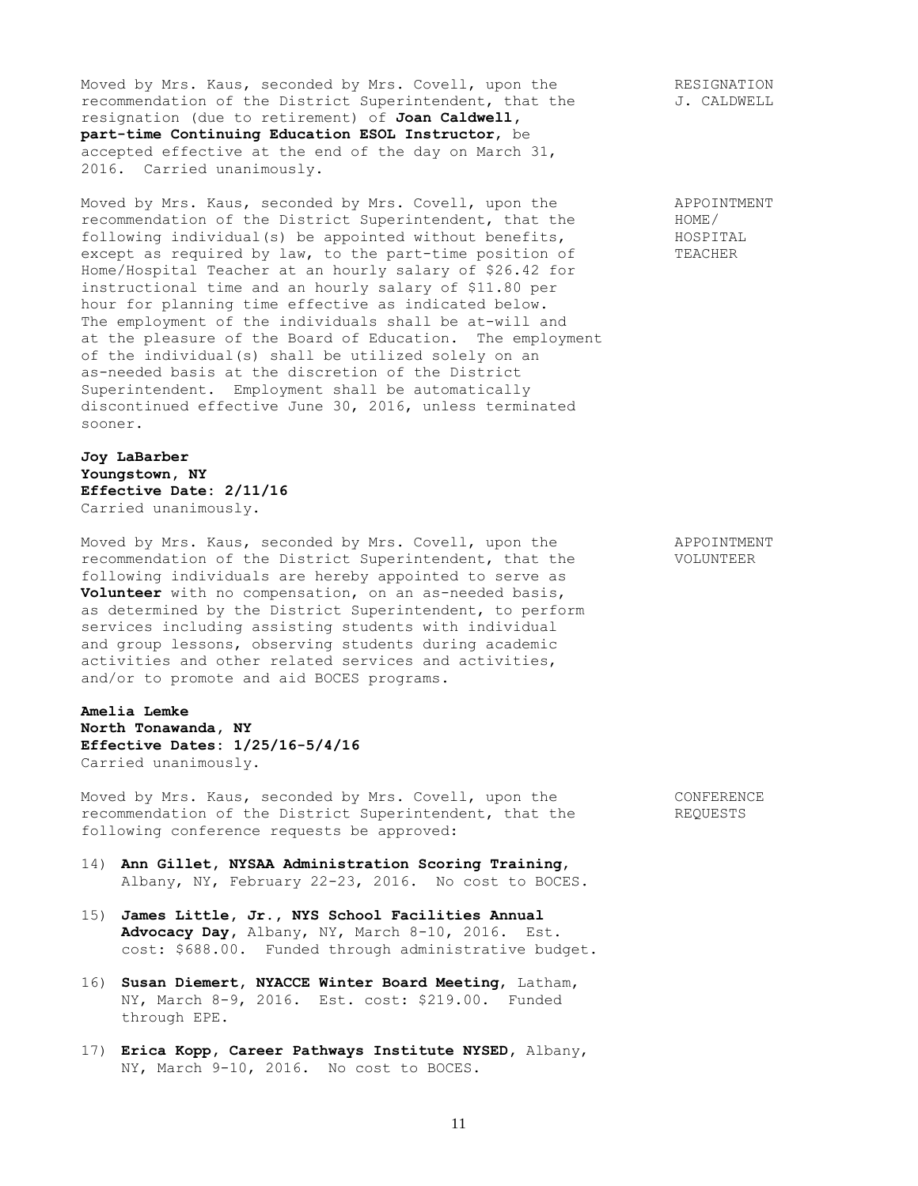Moved by Mrs. Kaus, seconded by Mrs. Covell, upon the RESIGNATION recommendation of the District Superintendent, that the  $J.$  CALDWELL resignation (due to retirement) of **Joan Caldwell, part-time Continuing Education ESOL Instructor**, be accepted effective at the end of the day on March 31, 2016. Carried unanimously.

Moved by Mrs. Kaus, seconded by Mrs. Covell, upon the APPOINTMENT<br>recommendation of the District Superintendent, that the HOME/ recommendation of the District Superintendent, that the following individual(s) be appointed without benefits, HOSPITAL except as required by law, to the part-time position of TEACHER Home/Hospital Teacher at an hourly salary of \$26.42 for instructional time and an hourly salary of \$11.80 per hour for planning time effective as indicated below. The employment of the individuals shall be at-will and at the pleasure of the Board of Education. The employment of the individual(s) shall be utilized solely on an as-needed basis at the discretion of the District Superintendent. Employment shall be automatically discontinued effective June 30, 2016, unless terminated sooner.

**Joy LaBarber Youngstown, NY Effective Date: 2/11/16** Carried unanimously.

Moved by Mrs. Kaus, seconded by Mrs. Covell, upon the APPOINTMENT recommendation of the District Superintendent, that the VOLUNTEER following individuals are hereby appointed to serve as **Volunteer** with no compensation, on an as-needed basis, as determined by the District Superintendent, to perform services including assisting students with individual and group lessons, observing students during academic activities and other related services and activities, and/or to promote and aid BOCES programs.

# **Amelia Lemke North Tonawanda, NY Effective Dates: 1/25/16-5/4/16** Carried unanimously.

Moved by Mrs. Kaus, seconded by Mrs. Covell, upon the CONFERENCE recommendation of the District Superintendent, that the REQUESTS following conference requests be approved:

- 14) **Ann Gillet, NYSAA Administration Scoring Training**, Albany, NY, February 22-23, 2016. No cost to BOCES.
- 15) **James Little, Jr., NYS School Facilities Annual Advocacy Day,** Albany, NY, March 8-10, 2016. Est. cost: \$688.00. Funded through administrative budget.
- 16) **Susan Diemert, NYACCE Winter Board Meeting**, Latham, NY, March 8-9, 2016. Est. cost: \$219.00. Funded through EPE.
- 17) **Erica Kopp, Career Pathways Institute NYSED,** Albany, NY, March 9-10, 2016. No cost to BOCES.